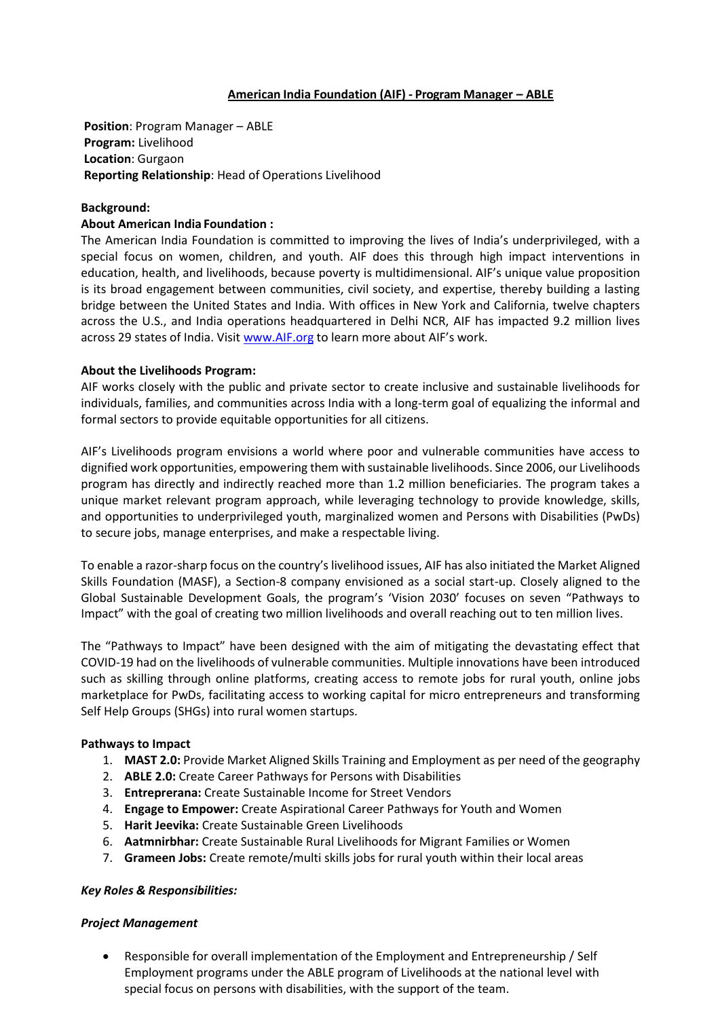### **American India Foundation (AIF) - Program Manager – ABLE**

**Position**: Program Manager – ABLE **Program:** Livelihood **Location**: Gurgaon **Reporting Relationship**: Head of Operations Livelihood

### **Background:**

### **About American India Foundation :**

The American India Foundation is committed to improving the lives of India's underprivileged, with a special focus on women, children, and youth. AIF does this through high impact interventions in education, health, and livelihoods, because poverty is multidimensional. AIF's unique value proposition is its broad engagement between communities, civil society, and expertise, thereby building a lasting bridge between the United States and India. With offices in New York and California, twelve chapters across the U.S., and India operations headquartered in Delhi NCR, AIF has impacted 9.2 million lives across 29 states of India. Visit [www.AIF.org](http://www.aif.org/) to learn more about AIF's work.

## **About the Livelihoods Program:**

AIF works closely with the public and private sector to create inclusive and sustainable livelihoods for individuals, families, and communities across India with a long-term goal of equalizing the informal and formal sectors to provide equitable opportunities for all citizens.

AIF's Livelihoods program envisions a world where poor and vulnerable communities have access to dignified work opportunities, empowering them with sustainable livelihoods. Since 2006, our Livelihoods program has directly and indirectly reached more than 1.2 million beneficiaries. The program takes a unique market relevant program approach, while leveraging technology to provide knowledge, skills, and opportunities to underprivileged youth, marginalized women and Persons with Disabilities (PwDs) to secure jobs, manage enterprises, and make a respectable living.

To enable a razor-sharp focus on the country's livelihood issues, AIF has also initiated the Market Aligned Skills Foundation (MASF), a Section-8 company envisioned as a social start-up. Closely aligned to the Global Sustainable Development Goals, the program's 'Vision 2030' focuses on seven "Pathways to Impact" with the goal of creating two million livelihoods and overall reaching out to ten million lives.

The "Pathways to Impact" have been designed with the aim of mitigating the devastating effect that COVID-19 had on the livelihoods of vulnerable communities. Multiple innovations have been introduced such as skilling through online platforms, creating access to remote jobs for rural youth, online jobs marketplace for PwDs, facilitating access to working capital for micro entrepreneurs and transforming Self Help Groups (SHGs) into rural women startups.

#### **Pathways to Impact**

- 1. **MAST 2.0:** Provide Market Aligned Skills Training and Employment as per need of the geography
- 2. **ABLE 2.0:** Create Career Pathways for Persons with Disabilities
- 3. **Entreprerana:** Create Sustainable Income for Street Vendors
- 4. **Engage to Empower:** Create Aspirational Career Pathways for Youth and Women
- 5. **Harit Jeevika:** Create Sustainable Green Livelihoods
- 6. **Aatmnirbhar:** Create Sustainable Rural Livelihoods for Migrant Families or Women
- 7. **Grameen Jobs:** Create remote/multi skills jobs for rural youth within their local areas

#### *Key Roles & Responsibilities:*

#### *Project Management*

• Responsible for overall implementation of the Employment and Entrepreneurship / Self Employment programs under the ABLE program of Livelihoods at the national level with special focus on persons with disabilities, with the support of the team.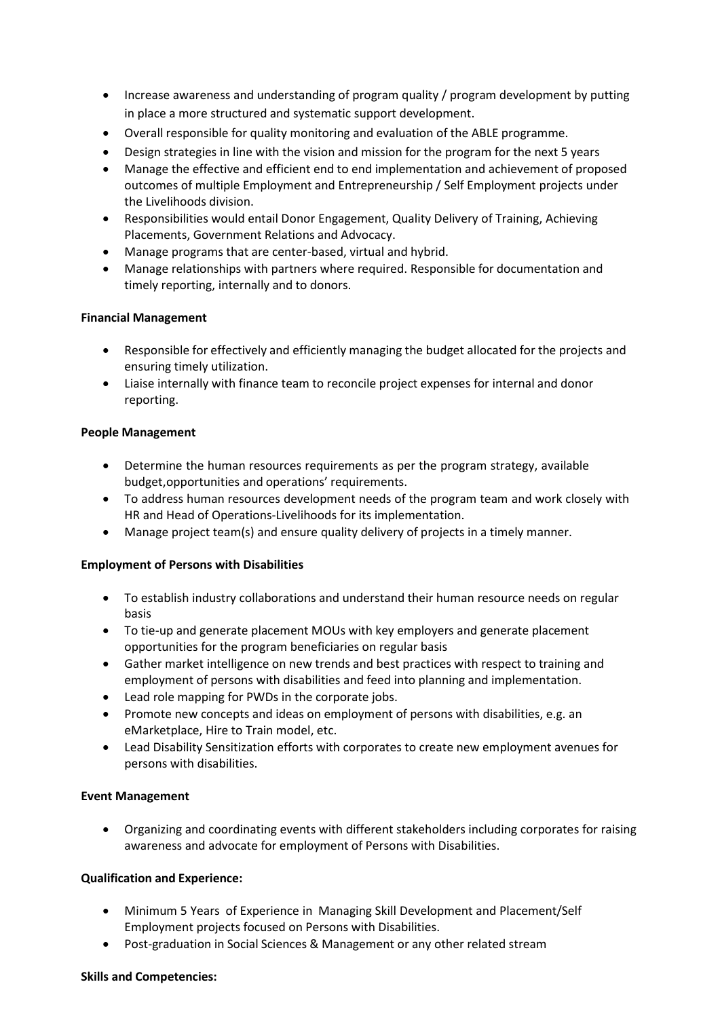- Increase awareness and understanding of program quality / program development by putting in place a more structured and systematic support development.
- Overall responsible for quality monitoring and evaluation of the ABLE programme.
- Design strategies in line with the vision and mission for the program for the next 5 years
- Manage the effective and efficient end to end implementation and achievement of proposed outcomes of multiple Employment and Entrepreneurship / Self Employment projects under the Livelihoods division.
- Responsibilities would entail Donor Engagement, Quality Delivery of Training, Achieving Placements, Government Relations and Advocacy.
- Manage programs that are center-based, virtual and hybrid.
- Manage relationships with partners where required. Responsible for documentation and timely reporting, internally and to donors.

## **Financial Management**

- Responsible for effectively and efficiently managing the budget allocated for the projects and ensuring timely utilization.
- Liaise internally with finance team to reconcile project expenses for internal and donor reporting.

## **People Management**

- Determine the human resources requirements as per the program strategy, available budget,opportunities and operations' requirements.
- To address human resources development needs of the program team and work closely with HR and Head of Operations-Livelihoods for its implementation.
- Manage project team(s) and ensure quality delivery of projects in a timely manner.

## **Employment of Persons with Disabilities**

- To establish industry collaborations and understand their human resource needs on regular basis
- To tie-up and generate placement MOUs with key employers and generate placement opportunities for the program beneficiaries on regular basis
- Gather market intelligence on new trends and best practices with respect to training and employment of persons with disabilities and feed into planning and implementation.
- Lead role mapping for PWDs in the corporate jobs.
- Promote new concepts and ideas on employment of persons with disabilities, e.g. an eMarketplace, Hire to Train model, etc.
- Lead Disability Sensitization efforts with corporates to create new employment avenues for persons with disabilities.

## **Event Management**

• Organizing and coordinating events with different stakeholders including corporates for raising awareness and advocate for employment of Persons with Disabilities.

## **Qualification and Experience:**

- Minimum 5 Years of Experience in Managing Skill Development and Placement/Self Employment projects focused on Persons with Disabilities.
- Post-graduation in Social Sciences & Management or any other related stream

#### **Skills and Competencies:**